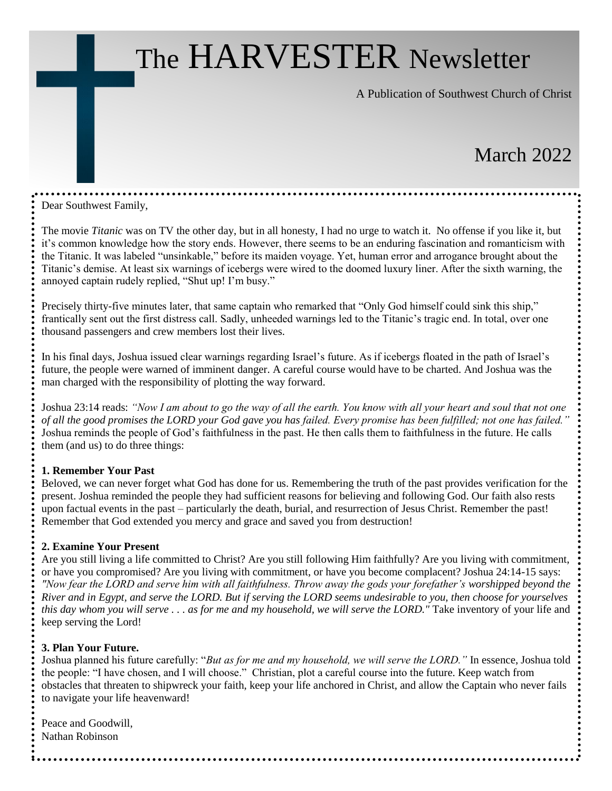# The HARVESTER Newsletter

A Publication of Southwest Church of Christ

## March 2022

Dear Southwest Family,

The movie *Titanic* was on TV the other day, but in all honesty, I had no urge to watch it. No offense if you like it, but it's common knowledge how the story ends. However, there seems to be an enduring fascination and romanticism with the Titanic. It was labeled "unsinkable," before its maiden voyage. Yet, human error and arrogance brought about the Titanic's demise. At least six warnings of icebergs were wired to the doomed luxury liner. After the sixth warning, the annoyed captain rudely replied, "Shut up! I'm busy."

Precisely thirty-five minutes later, that same captain who remarked that "Only God himself could sink this ship," frantically sent out the first distress call. Sadly, unheeded warnings led to the Titanic's tragic end. In total, over one thousand passengers and crew members lost their lives.

In his final days, Joshua issued clear warnings regarding Israel's future. As if icebergs floated in the path of Israel's future, the people were warned of imminent danger. A careful course would have to be charted. And Joshua was the man charged with the responsibility of plotting the way forward.

Joshua 23:14 reads: *"Now I am about to go the way of all the earth. You know with all your heart and soul that not one of all the good promises the LORD your God gave you has failed. Every promise has been fulfilled; not one has failed."* Joshua reminds the people of God's faithfulness in the past. He then calls them to faithfulness in the future. He calls them (and us) to do three things:

#### **1. Remember Your Past**

Beloved, we can never forget what God has done for us. Remembering the truth of the past provides verification for the present. Joshua reminded the people they had sufficient reasons for believing and following God. Our faith also rests upon factual events in the past – particularly the death, burial, and resurrection of Jesus Christ. Remember the past! Remember that God extended you mercy and grace and saved you from destruction!

#### **2. Examine Your Present**

Are you still living a life committed to Christ? Are you still following Him faithfully? Are you living with commitment, or have you compromised? Are you living with commitment, or have you become complacent? Joshua 24:14-15 says: *"Now fear the LORD and serve him with all faithfulness. Throw away the gods your forefather's worshipped beyond the River and in Egypt, and serve the LORD. But if serving the LORD seems undesirable to you, then choose for yourselves this day whom you will serve . . . as for me and my household, we will serve the LORD."* Take inventory of your life and keep serving the Lord!

#### **3. Plan Your Future.**

Joshua planned his future carefully: "*But as for me and my household, we will serve the LORD."* In essence, Joshua told the people: "I have chosen, and I will choose." Christian, plot a careful course into the future. Keep watch from obstacles that threaten to shipwreck your faith, keep your life anchored in Christ, and allow the Captain who never fails to navigate your life heavenward!

Peace and Goodwill, Nathan Robinson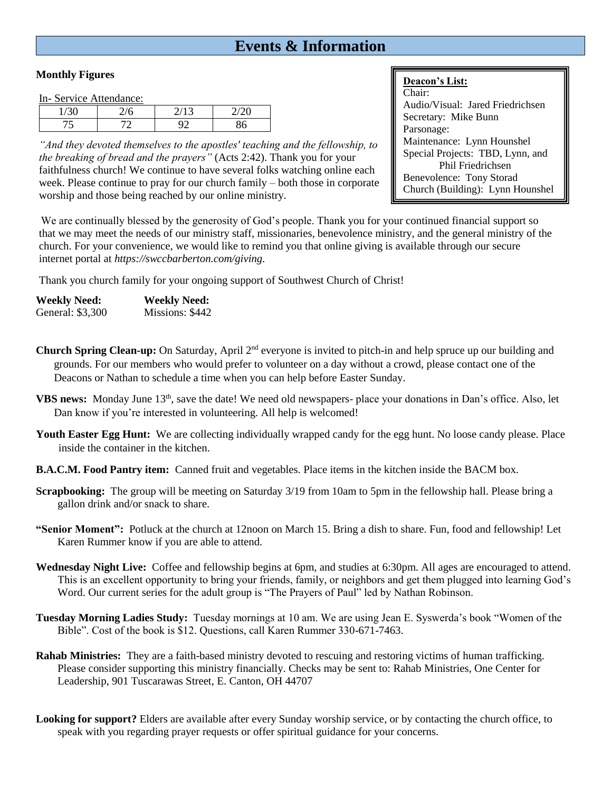### **Events & Information**

#### **Monthly Figures**

In- Service Attendance:

*"And they devoted themselves to the apostles' teaching and the fellowship, to the breaking of bread and the prayers"* (Acts 2:42). Thank you for your faithfulness church! We continue to have several folks watching online each week. Please continue to pray for our church family – both those in corporate worship and those being reached by our online ministry.

#### **Deacon's List:**

Chair: Audio/Visual: Jared Friedrichsen Secretary: Mike Bunn Parsonage: Maintenance: Lynn Hounshel Special Projects: TBD, Lynn, and Phil Friedrichsen Benevolence: Tony Storad Church (Building): Lynn Hounshel

We are continually blessed by the generosity of God's people. Thank you for your continued financial support so that we may meet the needs of our ministry staff, missionaries, benevolence ministry, and the general ministry of the church. For your convenience, we would like to remind you that online giving is available through our secure internet portal at *https://swccbarberton.com/giving.*

Thank you church family for your ongoing support of Southwest Church of Christ!

| <b>Weekly Need:</b> | <b>Weekly Need:</b> |
|---------------------|---------------------|
| General: \$3,300    | Missions: \$442     |

**Church Spring Clean-up:** On Saturday, April 2nd everyone is invited to pitch-in and help spruce up our building and grounds. For our members who would prefer to volunteer on a day without a crowd, please contact one of the Deacons or Nathan to schedule a time when you can help before Easter Sunday.

- **VBS news:** Monday June 13<sup>th</sup>, save the date! We need old newspapers- place your donations in Dan's office. Also, let Dan know if you're interested in volunteering. All help is welcomed!
- **Youth Easter Egg Hunt:** We are collecting individually wrapped candy for the egg hunt. No loose candy please. Place inside the container in the kitchen.
- **B.A.C.M. Food Pantry item:** Canned fruit and vegetables. Place items in the kitchen inside the BACM box.
- **Scrapbooking:** The group will be meeting on Saturday 3/19 from 10am to 5pm in the fellowship hall. Please bring a gallon drink and/or snack to share.
- **"Senior Moment":** Potluck at the church at 12noon on March 15. Bring a dish to share. Fun, food and fellowship! Let Karen Rummer know if you are able to attend.
- **Wednesday Night Live:** Coffee and fellowship begins at 6pm, and studies at 6:30pm. All ages are encouraged to attend. This is an excellent opportunity to bring your friends, family, or neighbors and get them plugged into learning God's Word. Our current series for the adult group is "The Prayers of Paul" led by Nathan Robinson.
- **Tuesday Morning Ladies Study:** Tuesday mornings at 10 am. We are using Jean E. Syswerda's book "Women of the Bible". Cost of the book is \$12. Questions, call Karen Rummer 330-671-7463.
- **Rahab Ministries:** They are a faith-based ministry devoted to rescuing and restoring victims of human trafficking. Please consider supporting this ministry financially. Checks may be sent to: Rahab Ministries, One Center for Leadership, 901 Tuscarawas Street, E. Canton, OH 44707
- **Looking for support?** Elders are available after every Sunday worship service, or by contacting the church office, to speak with you regarding prayer requests or offer spiritual guidance for your concerns.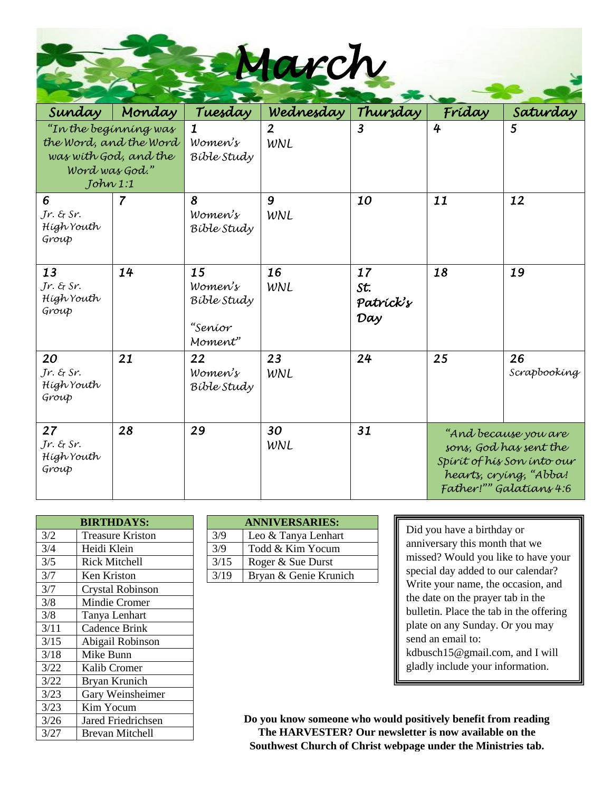*March*

| Sunday                                                                                                | Monday                                                   | Tuesday                               | Wednesday             | Thursday                      | Fríday                                                                                                                            | Saturday           |
|-------------------------------------------------------------------------------------------------------|----------------------------------------------------------|---------------------------------------|-----------------------|-------------------------------|-----------------------------------------------------------------------------------------------------------------------------------|--------------------|
| "In the beginning was<br>the Word, and the Word<br>was with God, and the<br>Word was God."<br>Johw1:1 |                                                          | $\mathbf 1$<br>Women's<br>Bible Study | $\overline{2}$<br>WNL | $\overline{\mathbf{3}}$       | 4                                                                                                                                 | 5                  |
| 6<br>$Jr.$ & Sr.<br>Hígh Youth<br>Group                                                               | 7                                                        | 8<br>Women's<br>Bible Study           | 9<br>WNL              | 10                            | 11                                                                                                                                | 12                 |
| 13<br>$Jr.$ & Sr.<br>Hígh Youth<br>Group                                                              | 14<br>15<br>Women's<br>Bible Study<br>"Seníor<br>Moment" |                                       | 16<br>WNL             | 17<br>St.<br>Patrick's<br>Day | 18                                                                                                                                | 19                 |
| 20<br>$Jr.$ & $Sr.$<br>Hígh Youth<br>Group                                                            | 21                                                       | 22<br>Women's<br>Bible Study          | 23<br>WNL             | 24                            | 25                                                                                                                                | 26<br>Scrapbooking |
| 27<br>Jr. & Sr.<br>Hígh Youth<br>Group                                                                | 28                                                       | 29                                    | 30<br>WNL             | 31                            | "And because you are<br>sons, God has sent the<br>Spírít of hís Son ínto our<br>hearts, crying, "Abba!<br>Father!"" Galatians 4:6 |                    |

| <b>BIRTHDAYS:</b> |                           |  |      | <b>ANNIVERSARIES:</b> |
|-------------------|---------------------------|--|------|-----------------------|
| 3/2               | <b>Treasure Kriston</b>   |  | 3/9  | Leo & Tanya Lenhart   |
| 3/4               | Heidi Klein               |  | 3/9  | Todd & Kim Yocum      |
| 3/5               | Rick Mitchell             |  | 3/15 | Roger & Sue Durst     |
| 3/7               | Ken Kriston               |  | 3/19 | Bryan & Genie Krunich |
| 3/7               | <b>Crystal Robinson</b>   |  |      |                       |
| 3/8               | Mindie Cromer             |  |      |                       |
| 3/8               | Tanya Lenhart             |  |      |                       |
| 3/11              | Cadence Brink             |  |      |                       |
| 3/15              | Abigail Robinson          |  |      |                       |
| 3/18              | Mike Bunn                 |  |      |                       |
| 3/22              | Kalib Cromer              |  |      |                       |
| 3/22              | Bryan Krunich             |  |      |                       |
| 3/23              | Gary Weinsheimer          |  |      |                       |
| 3/23              | Kim Yocum                 |  |      |                       |
| 3/26              | <b>Jared Friedrichsen</b> |  |      | Do you know someone   |
| 3/27              | Brevan Mitchell           |  |      | The HARVESTER?        |

| <b>BIRTHDAYS:</b>       |      | <b>ANNIVERSARIES:</b> |  |  |  |
|-------------------------|------|-----------------------|--|--|--|
| <b>Treasure Kriston</b> | 3/9  | Leo & Tanya Lenhart   |  |  |  |
| Heidi Klein             | 3/9  | Todd & Kim Yocum      |  |  |  |
| <b>Rick Mitchell</b>    | 3/15 | Roger & Sue Durst     |  |  |  |
| Ken Kriston             | 3/19 | Bryan & Genie Krunich |  |  |  |

Did you have a birthday or anniversary this month that we missed? Would you like to have your special day added to our calendar? Write your name, the occasion, and the date on the prayer tab in the bulletin. Place the tab in the offering plate on any Sunday. Or you may send an email to: kdbusch15@gmail.com, and I will gladly include your information.

**Do you know someone who would positively benefit from reading The HARVESTER? Our newsletter is now available on the Southwest Church of Christ webpage under the Ministries tab.**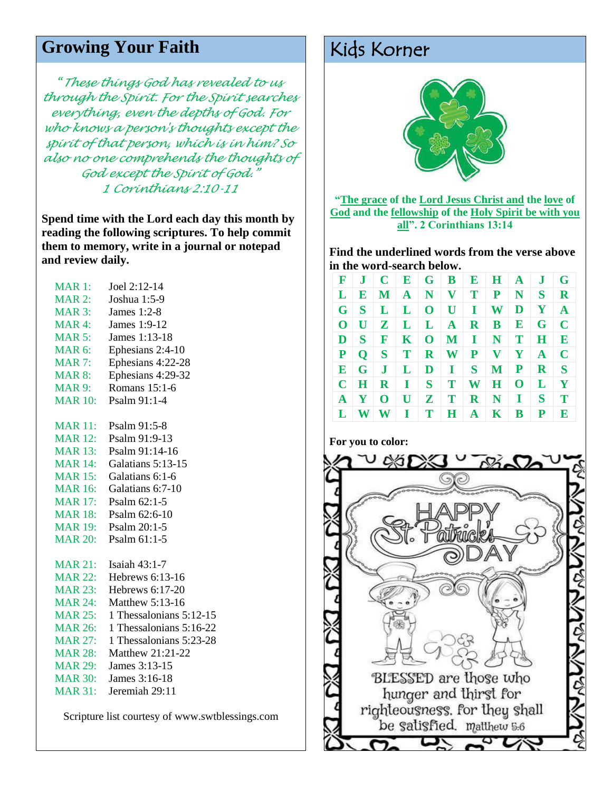## Growing Your Faith Kids Korner

*"These things God has revealed to us through the Spirit. For the Spirit searches everything, even the depths of God. For who knows a person's thoughts except the spirit of that person, which is in him? So also no one comprehends the thoughts of God except the Spirit of God." 1 Corinthians 2:10-11*

**Spend time with the Lord each day this month by reading the following scriptures. To help commit them to memory, write in a journal or notepad and review daily.**

| <b>MAR 1:</b>      | Joel 2:12-14            |
|--------------------|-------------------------|
| <b>MAR 2:</b>      | Joshua 1:5-9            |
| <b>MAR 3:</b>      | James 1:2-8             |
| MAR 4:             | James 1:9-12            |
| <b>MAR 5:</b>      | James 1:13-18           |
| MAR <sub>6</sub> : | Ephesians 2:4-10        |
| <b>MAR 7:</b>      | Ephesians 4:22-28       |
| <b>MAR 8:</b>      | Ephesians 4:29-32       |
| <b>MAR9:</b>       | Romans 15:1-6           |
| <b>MAR 10:</b>     | Psalm 91:1-4            |
| <b>MAR 11:</b>     | Psalm 91:5-8            |
| <b>MAR 12:</b>     | Psalm 91:9-13           |
| <b>MAR 13:</b>     | Psalm 91:14-16          |
| <b>MAR 14:</b>     | Galatians 5:13-15       |
| <b>MAR 15:</b>     | Galatians 6:1-6         |
| <b>MAR 16:</b>     | Galatians 6:7-10        |
| <b>MAR 17:</b>     | Psalm 62:1-5            |
| <b>MAR 18:</b>     | Psalm 62:6-10           |
| <b>MAR 19:</b>     | Psalm 20:1-5            |
| <b>MAR 20:</b>     | Psalm 61:1-5            |
| <b>MAR 21:</b>     | Isaiah 43:1-7           |
| <b>MAR 22:</b>     | Hebrews 6:13-16         |
| <b>MAR 23:</b>     | Hebrews $6:17-20$       |
| <b>MAR 24:</b>     | Matthew 5:13-16         |
| <b>MAR 25:</b>     | 1 Thessalonians 5:12-15 |
| <b>MAR 26:</b>     | 1 Thessalonians 5:16-22 |
| <b>MAR 27:</b>     | 1 Thessalonians 5:23-28 |
| <b>MAR 28:</b>     | Matthew 21:21-22        |
| <b>MAR 29:</b>     | James 3:13-15           |
| <b>MAR 30:</b>     | James 3:16-18           |
| <b>MAR 31:</b>     | Jeremiah 29:11          |
|                    |                         |

Scripture list courtesy of www.swtblessings.com



**"The grace of the Lord Jesus Christ and the love of God and the fellowship of the Holy Spirit be with you all". 2 Corinthians 13:14**

**Find the underlined words from the verse above in the word-search below.** 

| F            | $\bf J$                   |                |                 |       |                                      |              | $C$ $E$ $G$ $B$ $E$ $H$ $A$ |              | J            | G            |
|--------------|---------------------------|----------------|-----------------|-------|--------------------------------------|--------------|-----------------------------|--------------|--------------|--------------|
|              | $L$ $R$                   |                |                 |       |                                      |              | $M$ $A$ $N$ $V$ $T$ $P$     | N S          |              | $\mathbf R$  |
| G            | S                         |                |                 |       | $L \mid L \mid O \mid U \mid I \mid$ |              | W                           | D            | $\mathbf{Y}$ | $\mathbf{A}$ |
| $\bf{0}$     | U                         |                | $Z$ $L$ $L$ $A$ |       |                                      |              | $R \mid B \mid$             | $\mathbf E$  | $\mathbf{G}$ | $\mathbf C$  |
|              | $\mathbf{D}$ $\mathbf{S}$ | $\mathbf{F}$   |                 |       |                                      |              | $K$   O   M   I   N   T     |              | $\bf H$      | E            |
| P            | $\mathbf{O}$              | $S$ T          |                 |       | $R$ $W$ $P$ $V$                      |              |                             | $\mathbf{Y}$ | $\mathbf{A}$ | $\mathbf C$  |
| $\bf E$      | $\mathbf{G}$              | J <sub>1</sub> |                 |       | $L$ $D$ $I$ $S$                      |              | $\mathbf{M}$                | ${\bf P}$    | $\mathbf R$  | S            |
|              | $C$ $H$                   |                | $R$ $I$ $S$ $T$ |       |                                      | W            | $\mathbf{H}$                | $\mathbf{O}$ | L            | Y            |
| $\mathbf{A}$ | $\mathbf{Y}$              | $\mathbf 0$    |                 | U Z T |                                      | $\mathbf{R}$ | $\mathbf N$                 | $\mathbf{I}$ | S            | T            |
| L            | <b>W</b>                  |                | $W \perp I$     | T     | H                                    | $\mathbf{A}$ | $\bf K$                     | B            | P            | E            |